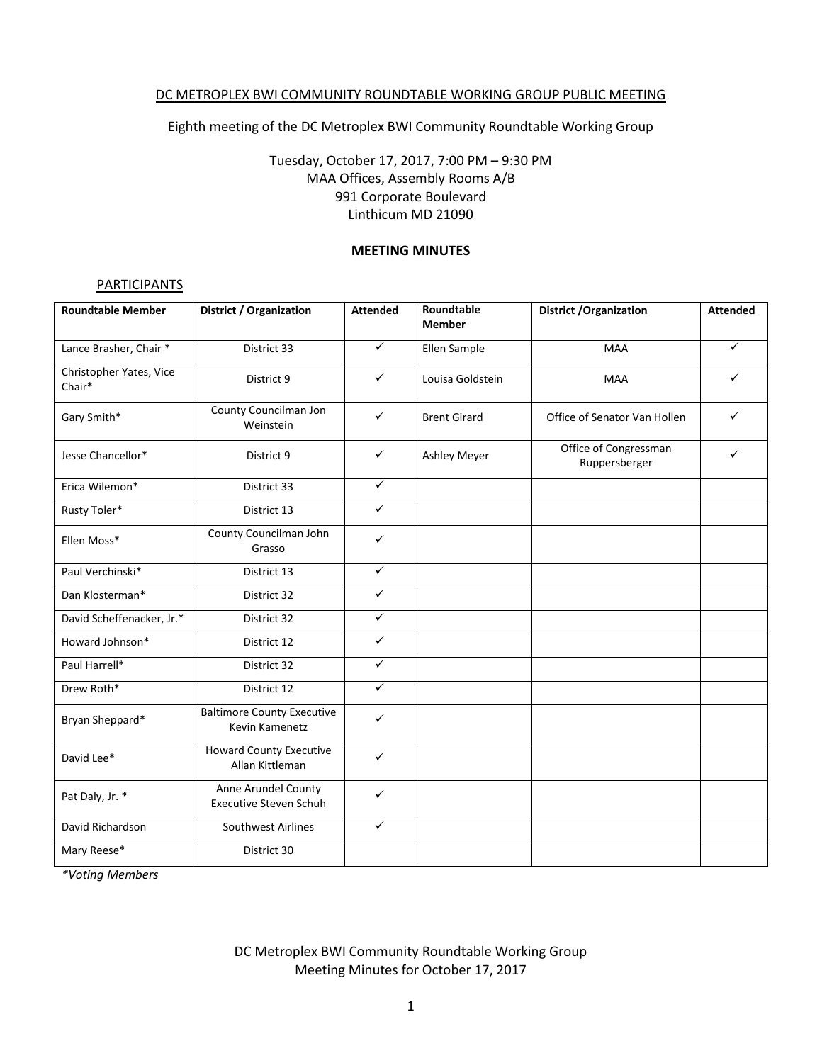### DC METROPLEX BWI COMMUNITY ROUNDTABLE WORKING GROUP PUBLIC MEETING

Eighth meeting of the DC Metroplex BWI Community Roundtable Working Group

# Tuesday, October 17, 2017, 7:00 PM – 9:30 PM MAA Offices, Assembly Rooms A/B 991 Corporate Boulevard Linthicum MD 21090

### **MEETING MINUTES**

### **PARTICIPANTS**

| <b>Roundtable Member</b>          | <b>District / Organization</b>                       | <b>Attended</b> | Roundtable          | <b>District / Organization</b>         | <b>Attended</b> |
|-----------------------------------|------------------------------------------------------|-----------------|---------------------|----------------------------------------|-----------------|
|                                   |                                                      |                 | <b>Member</b>       |                                        |                 |
| Lance Brasher, Chair *            | District 33                                          | $\checkmark$    | Ellen Sample        | <b>MAA</b>                             | $\checkmark$    |
| Christopher Yates, Vice<br>Chair* | District 9                                           | $\checkmark$    | Louisa Goldstein    | <b>MAA</b>                             | ✓               |
| Gary Smith*                       | County Councilman Jon<br>Weinstein                   | ✓               | <b>Brent Girard</b> | Office of Senator Van Hollen           | ✓               |
| Jesse Chancellor*                 | District 9                                           | ✓               | Ashley Meyer        | Office of Congressman<br>Ruppersberger | $\checkmark$    |
| Erica Wilemon*                    | District 33                                          | $\checkmark$    |                     |                                        |                 |
| Rusty Toler*                      | District 13                                          | $\checkmark$    |                     |                                        |                 |
| Ellen Moss*                       | County Councilman John<br>Grasso                     | $\checkmark$    |                     |                                        |                 |
| Paul Verchinski*                  | District 13                                          | $\checkmark$    |                     |                                        |                 |
| Dan Klosterman*                   | District 32                                          | $\checkmark$    |                     |                                        |                 |
| David Scheffenacker, Jr.*         | District 32                                          | $\checkmark$    |                     |                                        |                 |
| Howard Johnson*                   | District 12                                          | ✓               |                     |                                        |                 |
| Paul Harrell*                     | District 32                                          | $\checkmark$    |                     |                                        |                 |
| Drew Roth*                        | District 12                                          | $\checkmark$    |                     |                                        |                 |
| Bryan Sheppard*                   | <b>Baltimore County Executive</b><br>Kevin Kamenetz  | $\checkmark$    |                     |                                        |                 |
| David Lee*                        | <b>Howard County Executive</b><br>Allan Kittleman    | ✓               |                     |                                        |                 |
| Pat Daly, Jr. *                   | Anne Arundel County<br><b>Executive Steven Schuh</b> | $\checkmark$    |                     |                                        |                 |
| David Richardson                  | <b>Southwest Airlines</b>                            | $\checkmark$    |                     |                                        |                 |
| Mary Reese*                       | District 30                                          |                 |                     |                                        |                 |

*\*Voting Members*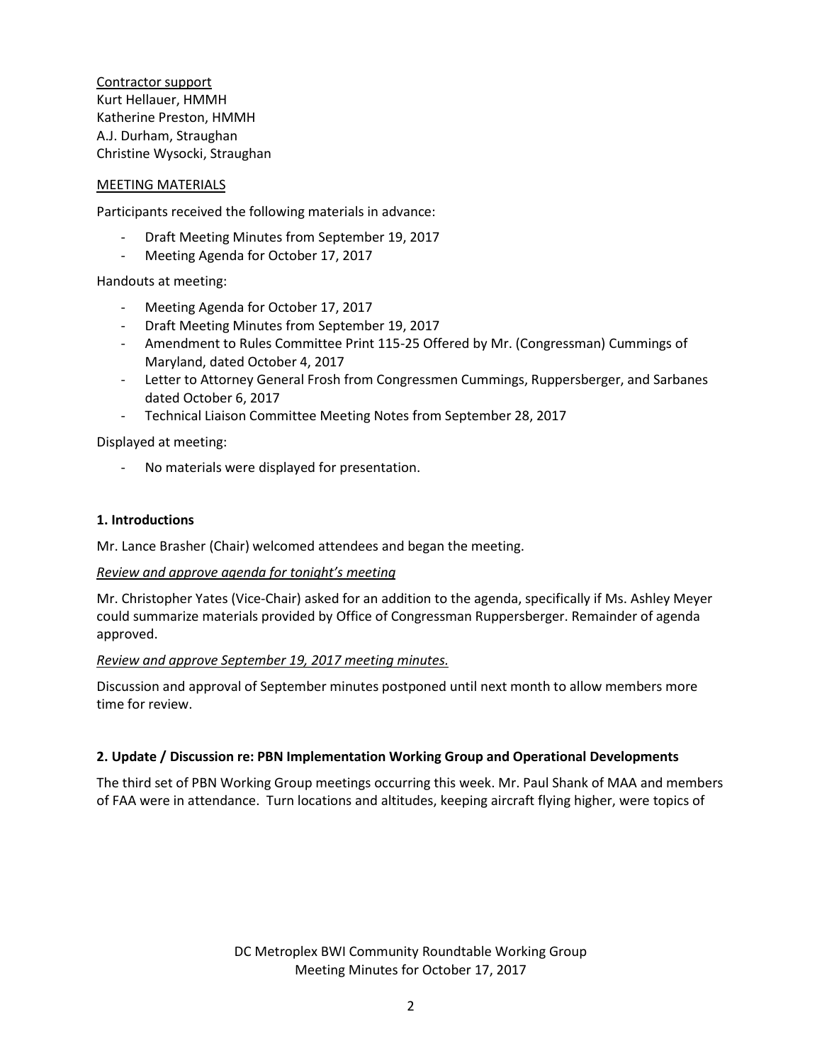Contractor support Kurt Hellauer, HMMH Katherine Preston, HMMH A.J. Durham, Straughan Christine Wysocki, Straughan

#### MEETING MATERIALS

Participants received the following materials in advance:

- Draft Meeting Minutes from September 19, 2017
- Meeting Agenda for October 17, 2017

Handouts at meeting:

- Meeting Agenda for October 17, 2017
- Draft Meeting Minutes from September 19, 2017
- Amendment to Rules Committee Print 115-25 Offered by Mr. (Congressman) Cummings of Maryland, dated October 4, 2017
- Letter to Attorney General Frosh from Congressmen Cummings, Ruppersberger, and Sarbanes dated October 6, 2017
- Technical Liaison Committee Meeting Notes from September 28, 2017

Displayed at meeting:

- No materials were displayed for presentation.

### **1. Introductions**

Mr. Lance Brasher (Chair) welcomed attendees and began the meeting.

#### *Review and approve agenda for tonight's meeting*

Mr. Christopher Yates (Vice-Chair) asked for an addition to the agenda, specifically if Ms. Ashley Meyer could summarize materials provided by Office of Congressman Ruppersberger. Remainder of agenda approved.

#### *Review and approve September 19, 2017 meeting minutes.*

Discussion and approval of September minutes postponed until next month to allow members more time for review.

#### **2. Update / Discussion re: PBN Implementation Working Group and Operational Developments**

The third set of PBN Working Group meetings occurring this week. Mr. Paul Shank of MAA and members of FAA were in attendance. Turn locations and altitudes, keeping aircraft flying higher, were topics of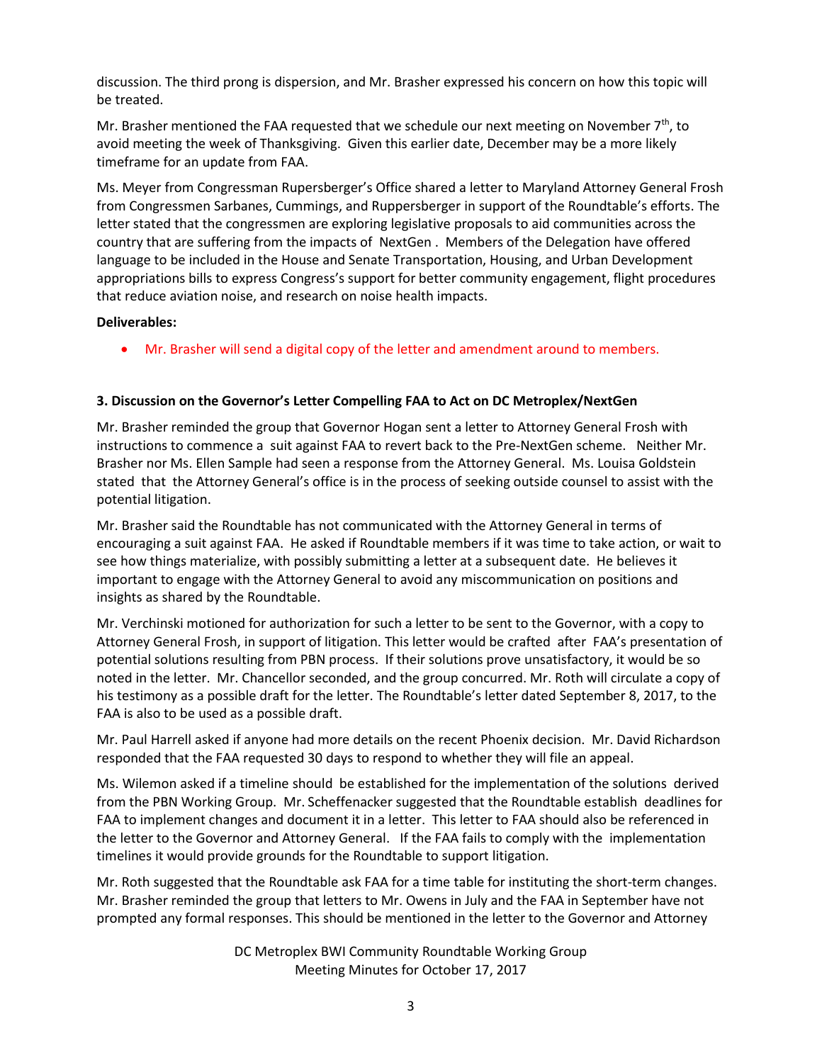discussion. The third prong is dispersion, and Mr. Brasher expressed his concern on how this topic will be treated.

Mr. Brasher mentioned the FAA requested that we schedule our next meeting on November  $7<sup>th</sup>$ , to avoid meeting the week of Thanksgiving. Given this earlier date, December may be a more likely timeframe for an update from FAA.

Ms. Meyer from Congressman Rupersberger's Office shared a letter to Maryland Attorney General Frosh from Congressmen Sarbanes, Cummings, and Ruppersberger in support of the Roundtable's efforts. The letter stated that the congressmen are exploring legislative proposals to aid communities across the country that are suffering from the impacts of NextGen . Members of the Delegation have offered language to be included in the House and Senate Transportation, Housing, and Urban Development appropriations bills to express Congress's support for better community engagement, flight procedures that reduce aviation noise, and research on noise health impacts.

# **Deliverables:**

Mr. Brasher will send a digital copy of the letter and amendment around to members.

# **3. Discussion on the Governor's Letter Compelling FAA to Act on DC Metroplex/NextGen**

Mr. Brasher reminded the group that Governor Hogan sent a letter to Attorney General Frosh with instructions to commence a suit against FAA to revert back to the Pre-NextGen scheme. Neither Mr. Brasher nor Ms. Ellen Sample had seen a response from the Attorney General. Ms. Louisa Goldstein stated that the Attorney General's office is in the process of seeking outside counsel to assist with the potential litigation.

Mr. Brasher said the Roundtable has not communicated with the Attorney General in terms of encouraging a suit against FAA. He asked if Roundtable members if it was time to take action, or wait to see how things materialize, with possibly submitting a letter at a subsequent date. He believes it important to engage with the Attorney General to avoid any miscommunication on positions and insights as shared by the Roundtable.

Mr. Verchinski motioned for authorization for such a letter to be sent to the Governor, with a copy to Attorney General Frosh, in support of litigation. This letter would be crafted after FAA's presentation of potential solutions resulting from PBN process. If their solutions prove unsatisfactory, it would be so noted in the letter. Mr. Chancellor seconded, and the group concurred. Mr. Roth will circulate a copy of his testimony as a possible draft for the letter. The Roundtable's letter dated September 8, 2017, to the FAA is also to be used as a possible draft.

Mr. Paul Harrell asked if anyone had more details on the recent Phoenix decision. Mr. David Richardson responded that the FAA requested 30 days to respond to whether they will file an appeal.

Ms. Wilemon asked if a timeline should be established for the implementation of the solutions derived from the PBN Working Group. Mr. Scheffenacker suggested that the Roundtable establish deadlines for FAA to implement changes and document it in a letter. This letter to FAA should also be referenced in the letter to the Governor and Attorney General. If the FAA fails to comply with the implementation timelines it would provide grounds for the Roundtable to support litigation.

Mr. Roth suggested that the Roundtable ask FAA for a time table for instituting the short-term changes. Mr. Brasher reminded the group that letters to Mr. Owens in July and the FAA in September have not prompted any formal responses. This should be mentioned in the letter to the Governor and Attorney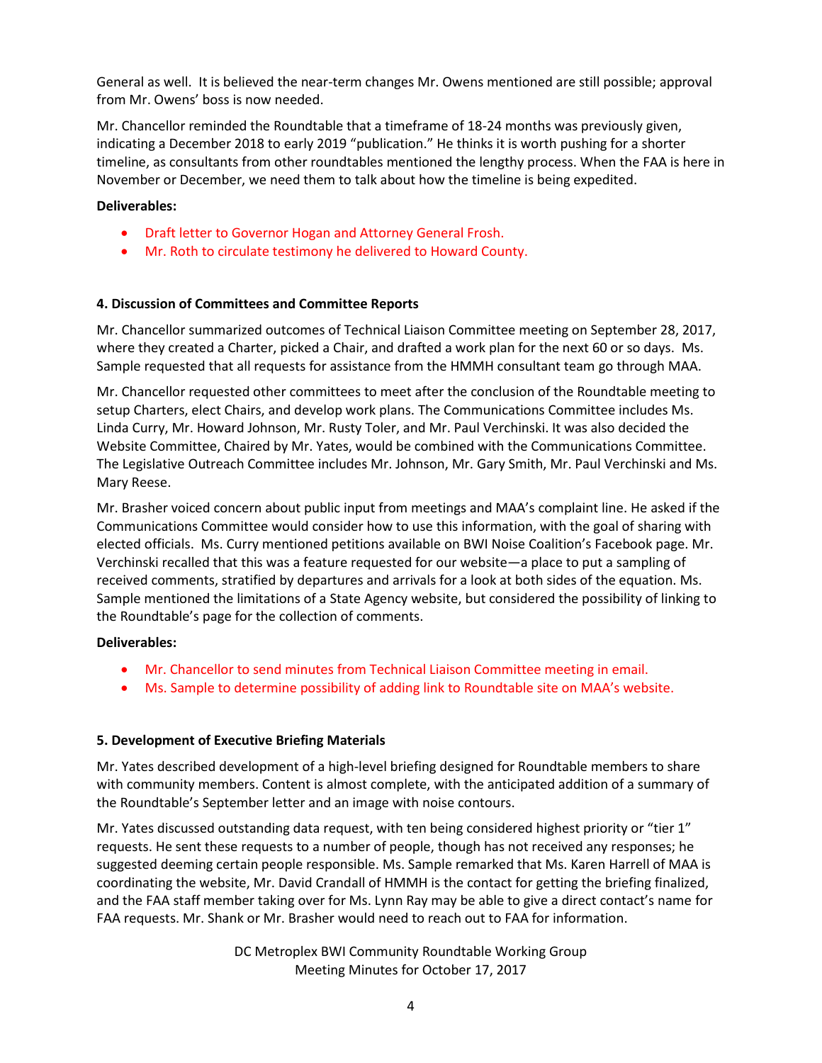General as well. It is believed the near-term changes Mr. Owens mentioned are still possible; approval from Mr. Owens' boss is now needed.

Mr. Chancellor reminded the Roundtable that a timeframe of 18-24 months was previously given, indicating a December 2018 to early 2019 "publication." He thinks it is worth pushing for a shorter timeline, as consultants from other roundtables mentioned the lengthy process. When the FAA is here in November or December, we need them to talk about how the timeline is being expedited.

### **Deliverables:**

- Draft letter to Governor Hogan and Attorney General Frosh.
- Mr. Roth to circulate testimony he delivered to Howard County.

# **4. Discussion of Committees and Committee Reports**

Mr. Chancellor summarized outcomes of Technical Liaison Committee meeting on September 28, 2017, where they created a Charter, picked a Chair, and drafted a work plan for the next 60 or so days. Ms. Sample requested that all requests for assistance from the HMMH consultant team go through MAA.

Mr. Chancellor requested other committees to meet after the conclusion of the Roundtable meeting to setup Charters, elect Chairs, and develop work plans. The Communications Committee includes Ms. Linda Curry, Mr. Howard Johnson, Mr. Rusty Toler, and Mr. Paul Verchinski. It was also decided the Website Committee, Chaired by Mr. Yates, would be combined with the Communications Committee. The Legislative Outreach Committee includes Mr. Johnson, Mr. Gary Smith, Mr. Paul Verchinski and Ms. Mary Reese.

Mr. Brasher voiced concern about public input from meetings and MAA's complaint line. He asked if the Communications Committee would consider how to use this information, with the goal of sharing with elected officials. Ms. Curry mentioned petitions available on BWI Noise Coalition's Facebook page. Mr. Verchinski recalled that this was a feature requested for our website—a place to put a sampling of received comments, stratified by departures and arrivals for a look at both sides of the equation. Ms. Sample mentioned the limitations of a State Agency website, but considered the possibility of linking to the Roundtable's page for the collection of comments.

#### **Deliverables:**

- Mr. Chancellor to send minutes from Technical Liaison Committee meeting in email.
- Ms. Sample to determine possibility of adding link to Roundtable site on MAA's website.

# **5. Development of Executive Briefing Materials**

Mr. Yates described development of a high-level briefing designed for Roundtable members to share with community members. Content is almost complete, with the anticipated addition of a summary of the Roundtable's September letter and an image with noise contours.

Mr. Yates discussed outstanding data request, with ten being considered highest priority or "tier 1" requests. He sent these requests to a number of people, though has not received any responses; he suggested deeming certain people responsible. Ms. Sample remarked that Ms. Karen Harrell of MAA is coordinating the website, Mr. David Crandall of HMMH is the contact for getting the briefing finalized, and the FAA staff member taking over for Ms. Lynn Ray may be able to give a direct contact's name for FAA requests. Mr. Shank or Mr. Brasher would need to reach out to FAA for information.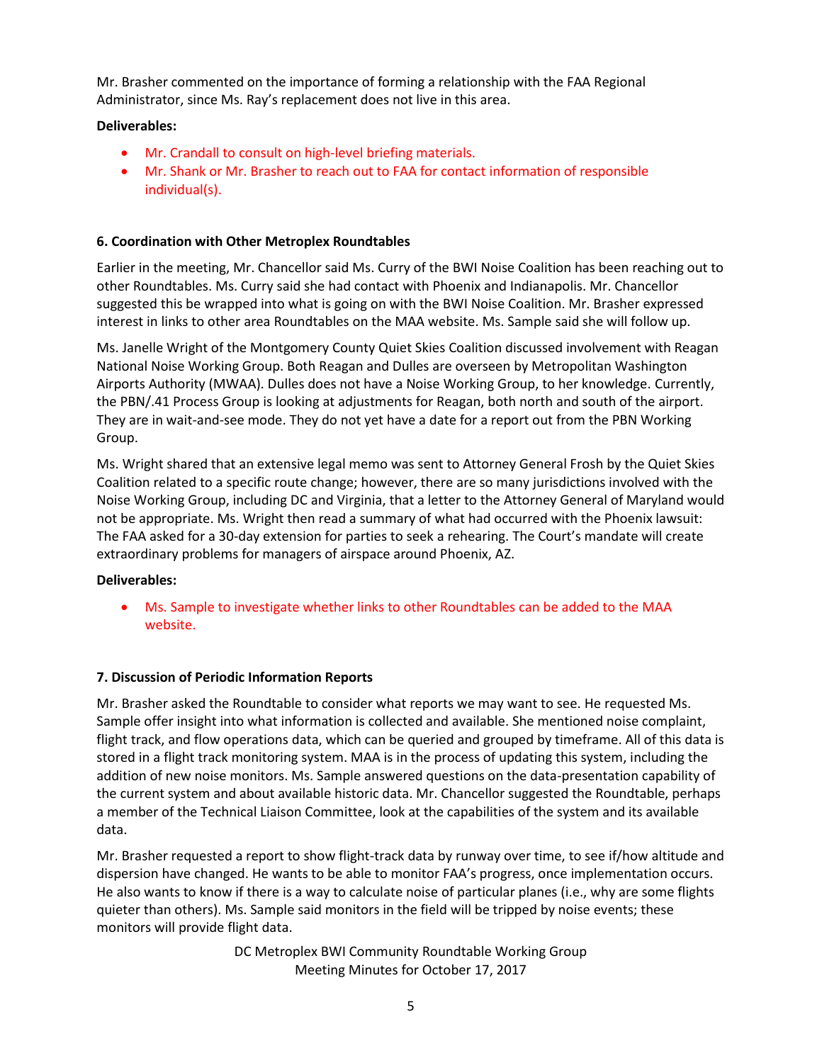Mr. Brasher commented on the importance of forming a relationship with the FAA Regional Administrator, since Ms. Ray's replacement does not live in this area.

# **Deliverables:**

- Mr. Crandall to consult on high-level briefing materials.
- Mr. Shank or Mr. Brasher to reach out to FAA for contact information of responsible individual(s).

# **6. Coordination with Other Metroplex Roundtables**

Earlier in the meeting, Mr. Chancellor said Ms. Curry of the BWI Noise Coalition has been reaching out to other Roundtables. Ms. Curry said she had contact with Phoenix and Indianapolis. Mr. Chancellor suggested this be wrapped into what is going on with the BWI Noise Coalition. Mr. Brasher expressed interest in links to other area Roundtables on the MAA website. Ms. Sample said she will follow up.

Ms. Janelle Wright of the Montgomery County Quiet Skies Coalition discussed involvement with Reagan National Noise Working Group. Both Reagan and Dulles are overseen by Metropolitan Washington Airports Authority (MWAA). Dulles does not have a Noise Working Group, to her knowledge. Currently, the PBN/.41 Process Group is looking at adjustments for Reagan, both north and south of the airport. They are in wait-and-see mode. They do not yet have a date for a report out from the PBN Working Group.

Ms. Wright shared that an extensive legal memo was sent to Attorney General Frosh by the Quiet Skies Coalition related to a specific route change; however, there are so many jurisdictions involved with the Noise Working Group, including DC and Virginia, that a letter to the Attorney General of Maryland would not be appropriate. Ms. Wright then read a summary of what had occurred with the Phoenix lawsuit: The FAA asked for a 30-day extension for parties to seek a rehearing. The Court's mandate will create extraordinary problems for managers of airspace around Phoenix, AZ.

# **Deliverables:**

 Ms. Sample to investigate whether links to other Roundtables can be added to the MAA website.

# **7. Discussion of Periodic Information Reports**

Mr. Brasher asked the Roundtable to consider what reports we may want to see. He requested Ms. Sample offer insight into what information is collected and available. She mentioned noise complaint, flight track, and flow operations data, which can be queried and grouped by timeframe. All of this data is stored in a flight track monitoring system. MAA is in the process of updating this system, including the addition of new noise monitors. Ms. Sample answered questions on the data-presentation capability of the current system and about available historic data. Mr. Chancellor suggested the Roundtable, perhaps a member of the Technical Liaison Committee, look at the capabilities of the system and its available data.

Mr. Brasher requested a report to show flight-track data by runway over time, to see if/how altitude and dispersion have changed. He wants to be able to monitor FAA's progress, once implementation occurs. He also wants to know if there is a way to calculate noise of particular planes (i.e., why are some flights quieter than others). Ms. Sample said monitors in the field will be tripped by noise events; these monitors will provide flight data.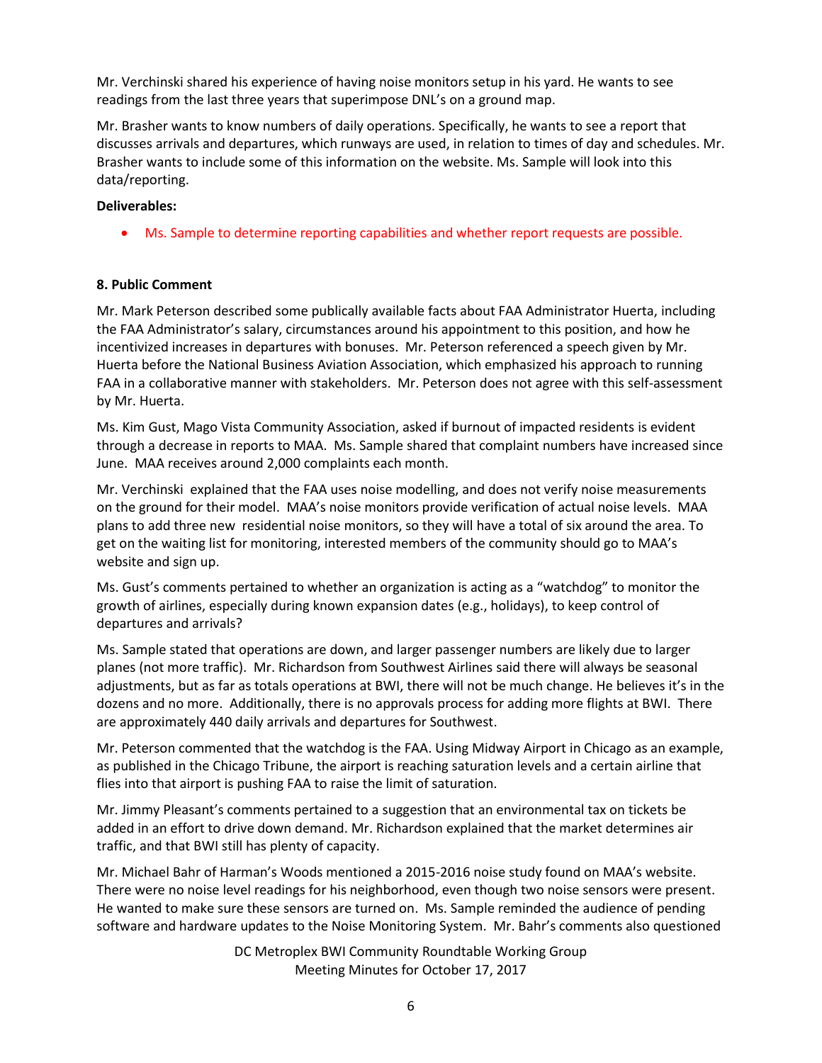Mr. Verchinski shared his experience of having noise monitors setup in his yard. He wants to see readings from the last three years that superimpose DNL's on a ground map.

Mr. Brasher wants to know numbers of daily operations. Specifically, he wants to see a report that discusses arrivals and departures, which runways are used, in relation to times of day and schedules. Mr. Brasher wants to include some of this information on the website. Ms. Sample will look into this data/reporting.

# **Deliverables:**

Ms. Sample to determine reporting capabilities and whether report requests are possible.

# **8. Public Comment**

Mr. Mark Peterson described some publically available facts about FAA Administrator Huerta, including the FAA Administrator's salary, circumstances around his appointment to this position, and how he incentivized increases in departures with bonuses. Mr. Peterson referenced a speech given by Mr. Huerta before the National Business Aviation Association, which emphasized his approach to running FAA in a collaborative manner with stakeholders. Mr. Peterson does not agree with this self-assessment by Mr. Huerta.

Ms. Kim Gust, Mago Vista Community Association, asked if burnout of impacted residents is evident through a decrease in reports to MAA. Ms. Sample shared that complaint numbers have increased since June. MAA receives around 2,000 complaints each month.

Mr. Verchinski explained that the FAA uses noise modelling, and does not verify noise measurements on the ground for their model. MAA's noise monitors provide verification of actual noise levels. MAA plans to add three new residential noise monitors, so they will have a total of six around the area. To get on the waiting list for monitoring, interested members of the community should go to MAA's website and sign up.

Ms. Gust's comments pertained to whether an organization is acting as a "watchdog" to monitor the growth of airlines, especially during known expansion dates (e.g., holidays), to keep control of departures and arrivals?

Ms. Sample stated that operations are down, and larger passenger numbers are likely due to larger planes (not more traffic). Mr. Richardson from Southwest Airlines said there will always be seasonal adjustments, but as far as totals operations at BWI, there will not be much change. He believes it's in the dozens and no more. Additionally, there is no approvals process for adding more flights at BWI. There are approximately 440 daily arrivals and departures for Southwest.

Mr. Peterson commented that the watchdog is the FAA. Using Midway Airport in Chicago as an example, as published in the Chicago Tribune, the airport is reaching saturation levels and a certain airline that flies into that airport is pushing FAA to raise the limit of saturation.

Mr. Jimmy Pleasant's comments pertained to a suggestion that an environmental tax on tickets be added in an effort to drive down demand. Mr. Richardson explained that the market determines air traffic, and that BWI still has plenty of capacity.

Mr. Michael Bahr of Harman's Woods mentioned a 2015-2016 noise study found on MAA's website. There were no noise level readings for his neighborhood, even though two noise sensors were present. He wanted to make sure these sensors are turned on. Ms. Sample reminded the audience of pending software and hardware updates to the Noise Monitoring System. Mr. Bahr's comments also questioned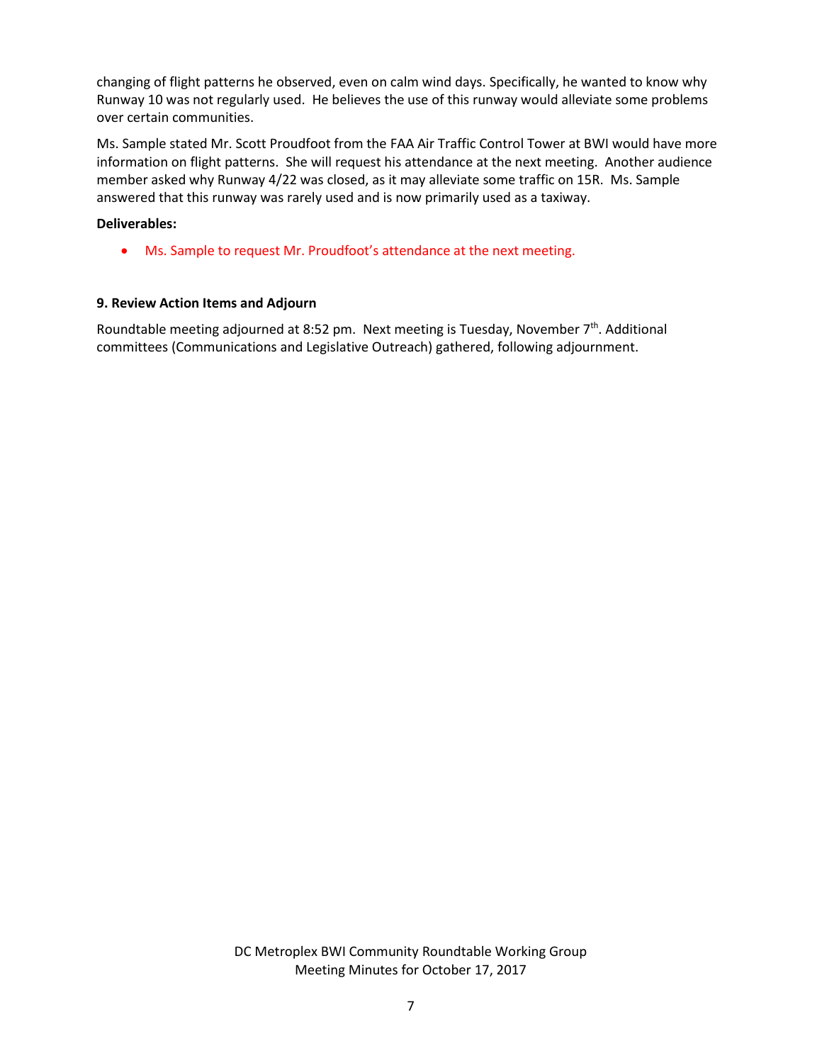changing of flight patterns he observed, even on calm wind days. Specifically, he wanted to know why Runway 10 was not regularly used. He believes the use of this runway would alleviate some problems over certain communities.

Ms. Sample stated Mr. Scott Proudfoot from the FAA Air Traffic Control Tower at BWI would have more information on flight patterns. She will request his attendance at the next meeting. Another audience member asked why Runway 4/22 was closed, as it may alleviate some traffic on 15R. Ms. Sample answered that this runway was rarely used and is now primarily used as a taxiway.

### **Deliverables:**

Ms. Sample to request Mr. Proudfoot's attendance at the next meeting.

### **9. Review Action Items and Adjourn**

Roundtable meeting adjourned at 8:52 pm. Next meeting is Tuesday, November 7<sup>th</sup>. Additional committees (Communications and Legislative Outreach) gathered, following adjournment.